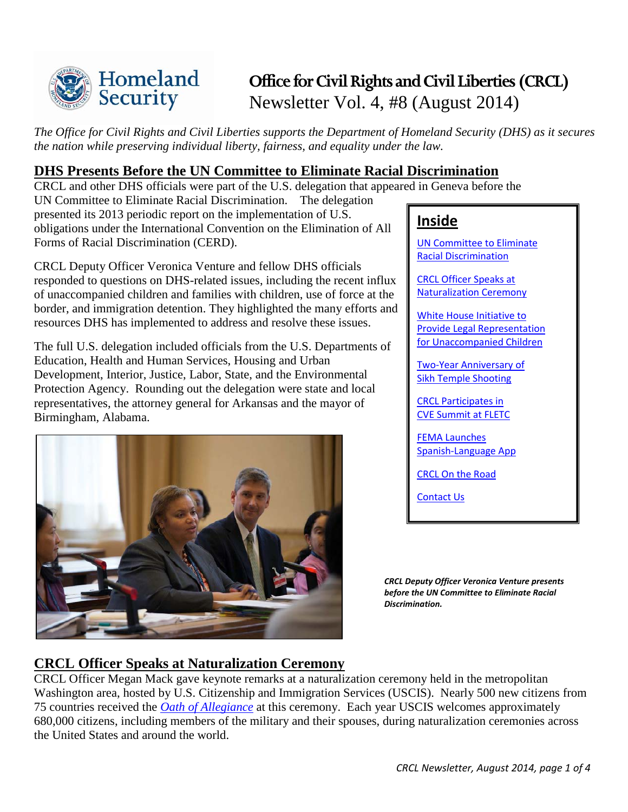

# **Office for Civil Rights and Civil Liberties (CRCL)** Newsletter Vol. 4, #8 (August 2014)

*The Office for Civil Rights and Civil Liberties supports the Department of Homeland Security (DHS) as it secures the nation while preserving individual liberty, fairness, and equality under the law.*

## <span id="page-0-0"></span>**DHS Presents Before the UN Committee to Eliminate Racial Discrimination**

CRCL and other DHS officials were part of the U.S. delegation that appeared in Geneva before the

UN Committee to Eliminate Racial Discrimination. The delegation presented its 2013 periodic report on the implementation of U.S. obligations under the International Convention on the Elimination of All Forms of Racial Discrimination (CERD).

CRCL Deputy Officer Veronica Venture and fellow DHS officials responded to questions on DHS-related issues, including the recent influx of unaccompanied children and families with children, use of force at the border, and immigration detention. They highlighted the many efforts and resources DHS has implemented to address and resolve these issues.

The full U.S. delegation included officials from the U.S. Departments of Education, Health and Human Services, Housing and Urban Development, Interior, Justice, Labor, State, and the Environmental Protection Agency. Rounding out the delegation were state and local representatives, the attorney general for Arkansas and the mayor of Birmingham, Alabama.



# **Inside**

[UN Committee to Eliminate](#page-0-0)  [Racial Discrimination](#page-0-0) 

[CRCL Officer Speaks at](#page-0-1) [Naturalization Ceremony](#page-0-1)

[White House Initiative to](#page-0-2)  [Provide Legal Representation](#page-0-2) [for Unaccompanied Children](#page-0-2)

[Two-Year Anniversary of](#page-1-0)  [Sikh Temple Shooting](#page-1-0)

[CRCL Participates in](#page-1-1)  [CVE Summit at FLETC](#page-1-1)

[FEMA Launches](#page-2-0)  [Spanish-Language App](#page-2-0)

[CRCL On the Road](#page-2-1)

[Contact Us](#page-3-0)

*CRCL Deputy Officer Veronica Venture presents before the UN Committee to Eliminate Racial Discrimination.* 

# <span id="page-0-1"></span>**CRCL Officer Speaks at Naturalization Ceremony**

<span id="page-0-2"></span>CRCL Officer Megan Mack gave keynote remarks at a naturalization ceremony held in the metropolitan Washington area, hosted by U.S. Citizenship and Immigration Services (USCIS). Nearly 500 new citizens from 75 countries received the *[Oath of Allegiance](http://www.uscis.gov/us-citizenship/naturalization-test/naturalization-oath-allegiance-united-states-america)* at this ceremony. Each year USCIS welcomes approximately 680,000 citizens, including members of the military and their spouses, during naturalization ceremonies across the United States and around the world.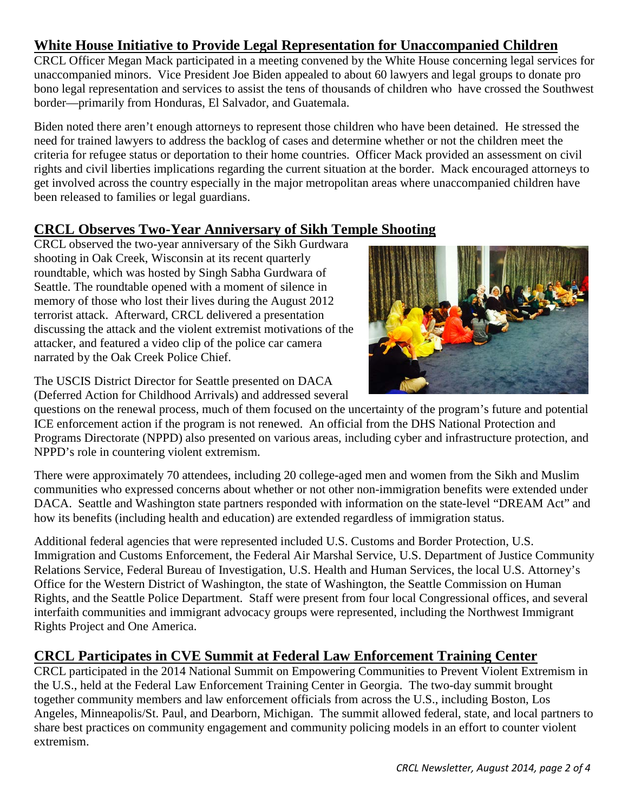# **White House Initiative to Provide Legal Representation for Unaccompanied Children**

CRCL Officer Megan Mack participated in a meeting convened by the White House concerning legal services for unaccompanied minors. Vice President Joe Biden appealed to about 60 lawyers and legal groups to donate pro bono legal representation and services to assist the tens of thousands of children who have crossed the Southwest border—primarily from Honduras, El Salvador, and Guatemala.

Biden noted there aren't enough attorneys to represent those children who have been detained. He stressed the need for trained lawyers to address the backlog of cases and determine whether or not the children meet the criteria for refugee status or deportation to their home countries. Officer Mack provided an assessment on civil rights and civil liberties implications regarding the current situation at the border. Mack encouraged attorneys to get involved across the country especially in the major metropolitan areas where unaccompanied children have been released to families or legal guardians.

### <span id="page-1-1"></span>**CRCL Observes Two-Year Anniversary of Sikh Temple Shooting**

CRCL observed the two-year anniversary of the Sikh Gurdwara shooting in Oak Creek, Wisconsin at its recent quarterly roundtable, which was hosted by Singh Sabha Gurdwara of Seattle. The roundtable opened with a moment of silence in memory of those who lost their lives during the August 2012 terrorist attack. Afterward, CRCL delivered a presentation discussing the attack and the violent extremist motivations of the attacker, and featured a video clip of the police car camera narrated by the Oak Creek Police Chief.



The USCIS District Director for Seattle presented on DACA (Deferred Action for Childhood Arrivals) and addressed several

questions on the renewal process, much of them focused on the uncertainty of the program's future and potential ICE enforcement action if the program is not renewed. An official from the DHS National Protection and Programs Directorate (NPPD) also presented on various areas, including cyber and infrastructure protection, and NPPD's role in countering violent extremism.

There were approximately 70 attendees, including 20 college-aged men and women from the Sikh and Muslim communities who expressed concerns about whether or not other non-immigration benefits were extended under DACA. Seattle and Washington state partners responded with information on the state-level "DREAM Act" and how its benefits (including health and education) are extended regardless of immigration status.

Additional federal agencies that were represented included U.S. Customs and Border Protection, U.S. Immigration and Customs Enforcement, the Federal Air Marshal Service, U.S. Department of Justice Community Relations Service, Federal Bureau of Investigation, U.S. Health and Human Services, the local U.S. Attorney's Office for the Western District of Washington, the state of Washington, the Seattle Commission on Human Rights, and the Seattle Police Department. Staff were present from four local Congressional offices, and several interfaith communities and immigrant advocacy groups were represented, including the Northwest Immigrant Rights Project and One America.

# <span id="page-1-0"></span>**CRCL Participates in CVE Summit at Federal Law Enforcement Training Center**

CRCL participated in the 2014 National Summit on Empowering Communities to Prevent Violent Extremism in the U.S., held at the Federal Law Enforcement Training Center in Georgia. The two-day summit brought together community members and law enforcement officials from across the U.S., including Boston, Los Angeles, Minneapolis/St. Paul, and Dearborn, Michigan. The summit allowed federal, state, and local partners to share best practices on community engagement and community policing models in an effort to counter violent extremism.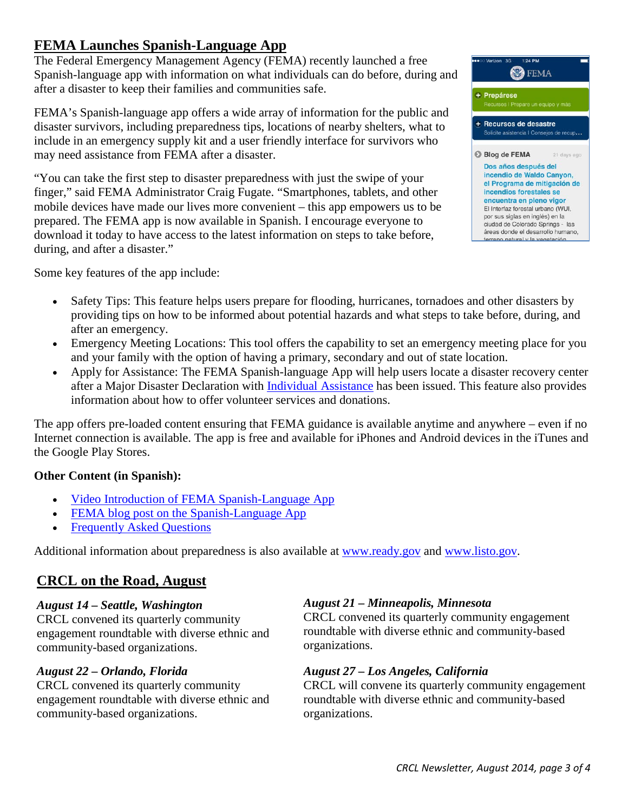# <span id="page-2-0"></span>**FEMA Launches Spanish-Language App**

The Federal Emergency Management Agency (FEMA) recently launched a free Spanish-language app with information on what individuals can do before, during and after a disaster to keep their families and communities safe.

FEMA's Spanish-language app offers a wide array of information for the public and disaster survivors, including preparedness tips, locations of nearby shelters, what to include in an emergency supply kit and a user friendly interface for survivors who may need assistance from FEMA after a disaster.

"You can take the first step to disaster preparedness with just the swipe of your finger," said FEMA Administrator Craig Fugate. "Smartphones, tablets, and other mobile devices have made our lives more convenient – this app empowers us to be prepared. The FEMA app is now available in Spanish. I encourage everyone to download it today to have access to the latest information on steps to take before, during, and after a disaster."

Some key features of the app include:

- Safety Tips: This feature helps users prepare for flooding, hurricanes, tornadoes and other disasters by providing tips on how to be informed about potential hazards and what steps to take before, during, and after an emergency.
- Emergency Meeting Locations: This tool offers the capability to set an emergency meeting place for you and your family with the option of having a primary, secondary and out of state location.
- Apply for Assistance: The FEMA Spanish-language App will help users locate a disaster recovery center after a Major Disaster Declaration with [Individual Assistance](http://www.disasterassistance.gov/) has been issued. This feature also provides information about how to offer volunteer services and donations.

The app offers pre-loaded content ensuring that FEMA guidance is available anytime and anywhere – even if no Internet connection is available. The app is free and available for iPhones and Android devices in the iTunes and the Google Play Stores.

#### **Other Content (in Spanish):**

- [Video Introduction of FEMA Spanish-Language App](http://www.youtube.com/watch?v=AOFYzuWHDSM&feature=youtu.be)
- [FEMA blog post on the Spanish-Language App](http://www.fema.gov/es/blog/2014-08-11/fema-en-espanol-hay-una-aplicacion-para-eso)
- [Frequently Asked Questions](http://www.fema.gov/es/aplicacion-para-dispositivos-moviles)

Additional information about preparedness is also available at [www.ready.gov](http://www.ready.gov/) and [www.listo.gov.](http://www.listo.gov/)

### <span id="page-2-1"></span>**CRCL on the Road, August**

#### *August 14 – Seattle, Washington*

CRCL convened its quarterly community engagement roundtable with diverse ethnic and community-based organizations.

#### *August 22 – Orlando, Florida*

CRCL convened its quarterly community engagement roundtable with diverse ethnic and community-based organizations.

#### *August 21 – Minneapolis, Minnesota*

CRCL convened its quarterly community engagement roundtable with diverse ethnic and community-based organizations.

#### *August 27 – Los Angeles, California*

CRCL will convene its quarterly community engagement roundtable with diverse ethnic and community-based organizations.



**O**FEMA

+ Prepárese